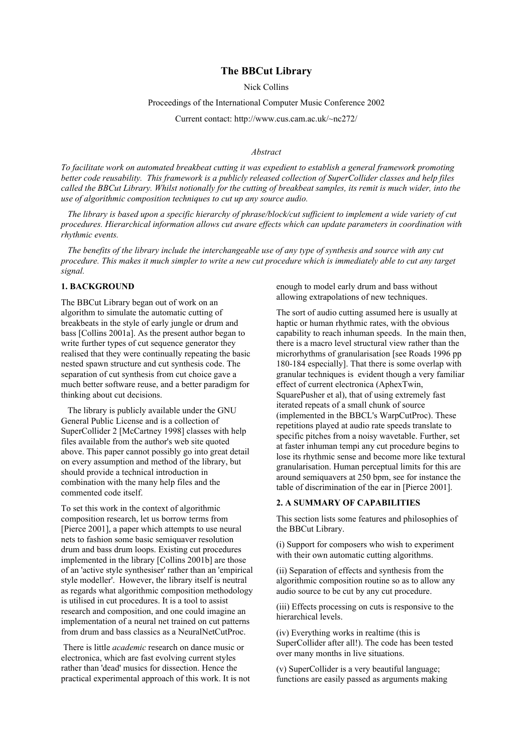# The BBCut Library

Nick Collins

## Proceedings of the International Computer Music Conference 2002

Current contact: http://www.cus.cam.ac.uk/~nc272/

#### *Abstract*

*To facilitate work on automated breakbeat cutting it was expedient to establish a general framework promoting better code reusability. This framework is a publicly released collection of SuperCollider classes and help files called the BBCut Library. Whilst notionally for the cutting of breakbeat samples, its remit is much wider, into the use of algorithmic composition techniques to cut up any source audio.*

 *The library is based upon a specific hierarchy of phrase/block/cut sufficient to implement a wide variety of cut procedures. Hierarchical information allows cut aware effects which can update parameters in coordination with rhythmic events.*

 *The benefits of the library include the interchangeable use of any type of synthesis and source with any cut procedure. This makes it much simpler to write a new cut procedure which is immediately able to cut any target signal.*

#### 1. BACKGROUND

The BBCut Library began out of work on an algorithm to simulate the automatic cutting of breakbeats in the style of early jungle or drum and bass [Collins 2001a]. As the present author began to write further types of cut sequence generator they realised that they were continually repeating the basic nested spawn structure and cut synthesis code. The separation of cut synthesis from cut choice gave a much better software reuse, and a better paradigm for thinking about cut decisions.

 The library is publicly available under the GNU General Public License and is a collection of SuperCollider 2 [McCartney 1998] classes with help files available from the author's web site quoted above. This paper cannot possibly go into great detail on every assumption and method of the library, but should provide a technical introduction in combination with the many help files and the commented code itself.

To set this work in the context of algorithmic composition research, let us borrow terms from [Pierce 2001], a paper which attempts to use neural nets to fashion some basic semiquaver resolution drum and bass drum loops. Existing cut procedures implemented in the library [Collins 2001b] are those of an 'active style synthesiser' rather than an 'empirical style modeller'. However, the library itself is neutral as regards what algorithmic composition methodology is utilised in cut procedures. It is a tool to assist research and composition, and one could imagine an implementation of a neural net trained on cut patterns from drum and bass classics as a NeuralNetCutProc.

 There is little *academic* research on dance music or electronica, which are fast evolving current styles rather than 'dead' musics for dissection. Hence the practical experimental approach of this work. It is not enough to model early drum and bass without allowing extrapolations of new techniques.

The sort of audio cutting assumed here is usually at haptic or human rhythmic rates, with the obvious capability to reach inhuman speeds. In the main then, there is a macro level structural view rather than the microrhythms of granularisation [see Roads 1996 pp 180-184 especially]. That there is some overlap with granular techniques is evident though a very familiar effect of current electronica (AphexTwin, SquarePusher et al), that of using extremely fast iterated repeats of a small chunk of source (implemented in the BBCL's WarpCutProc). These repetitions played at audio rate speeds translate to specific pitches from a noisy wavetable. Further, set at faster inhuman tempi any cut procedure begins to lose its rhythmic sense and become more like textural granularisation. Human perceptual limits for this are around semiquavers at 250 bpm, see for instance the table of discrimination of the ear in [Pierce 2001].

## 2. A SUMMARY OF CAPABILITIES

This section lists some features and philosophies of the BBCut Library.

(i) Support for composers who wish to experiment with their own automatic cutting algorithms.

(ii) Separation of effects and synthesis from the algorithmic composition routine so as to allow any audio source to be cut by any cut procedure.

(iii) Effects processing on cuts is responsive to the hierarchical levels.

(iv) Everything works in realtime (this is SuperCollider after all!). The code has been tested over many months in live situations.

(v) SuperCollider is a very beautiful language; functions are easily passed as arguments making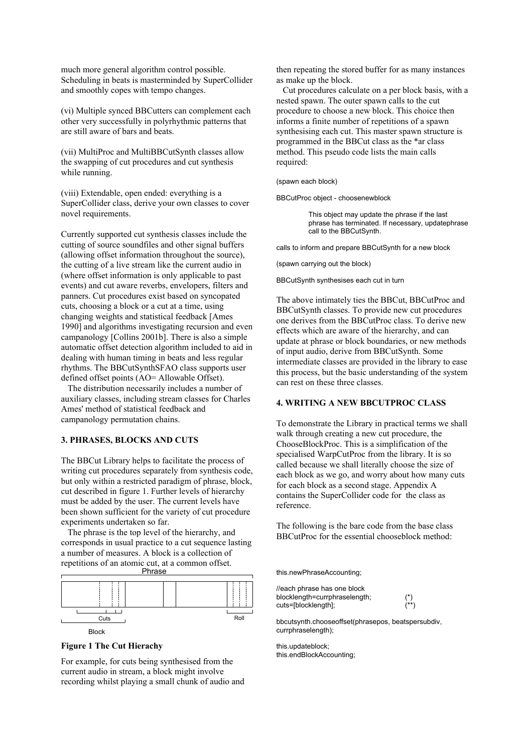much more general algorithm control possible. Scheduling in beats is masterminded by SuperCollider and smoothly copes with tempo changes.

(vi) Multiple synced BBCutters can complement each other very successfully in polyrhythmic patterns that are still aware of bars and beats.

(vii) MultiProc and MultiBBCutSynth classes allow the swapping of cut procedures and cut synthesis while running.

(viii) Extendable, open ended: everything is a SuperCollider class, derive your own classes to cover novel requirements.

Currently supported cut synthesis classes include the cutting of source soundfiles and other signal buffers (allowing offset information throughout the source), the cutting of a live stream like the current audio in (where offset information is only applicable to past events) and cut aware reverbs, envelopers, filters and panners. Cut procedures exist based on syncopated cuts, choosing a block or a cut at a time, using changing weights and statistical feedback [Ames 1990] and algorithms investigating recursion and even campanology [Collins 2001b]. There is also a simple automatic offset detection algorithm included to aid in dealing with human timing in beats and less regular rhythms. The BBCutSynthSFAO class supports user defined offset points (AO= Allowable Offset).

 The distribution necessarily includes a number of auxiliary classes, including stream classes for Charles Ames' method of statistical feedback and campanology permutation chains.

# 3. PHRASES, BLOCKS AND CUTS

The BBCut Library helps to facilitate the process of writing cut procedures separately from synthesis code, but only within a restricted paradigm of phrase, block, cut described in figure 1. Further levels of hierarchy must be added by the user. The current levels have been shown sufficient for the variety of cut procedure experiments undertaken so far.

 The phrase is the top level of the hierarchy, and corresponds in usual practice to a cut sequence lasting a number of measures. A block is a collection of repetitions of an atomic cut, at a common offset. **Phrase** 



#### Figure 1 The Cut Hierachy

For example, for cuts being synthesised from the current audio in stream, a block might involve recording whilst playing a small chunk of audio and then repeating the stored buffer for as many instances as make up the block.

 Cut procedures calculate on a per block basis, with a nested spawn. The outer spawn calls to the cut procedure to choose a new block. This choice then informs a finite number of repetitions of a spawn synthesising each cut. This master spawn structure is programmed in the BBCut class as the \*ar class method. This pseudo code lists the main calls required:

(spawn each block)

BBCutProc object - choosenewblock

This object may update the phrase if the last phrase has terminated. If necessary, updatephrase call to the BBCutSynth.

calls to inform and prepare BBCutSynth for a new block

(spawn carrying out the block)

BBCutSynth synthesises each cut in turn

The above intimately ties the BBCut, BBCutProc and BBCutSynth classes. To provide new cut procedures one derives from the BBCutProc class. To derive new effects which are aware of the hierarchy, and can update at phrase or block boundaries, or new methods of input audio, derive from BBCutSynth. Some intermediate classes are provided in the library to ease this process, but the basic understanding of the system can rest on these three classes.

#### 4. WRITING A NEW BBCUTPROC CLASS

To demonstrate the Library in practical terms we shall walk through creating a new cut procedure, the ChooseBlockProc. This is a simplification of the specialised WarpCutProc from the library. It is so called because we shall literally choose the size of each block as we go, and worry about how many cuts for each block as a second stage. Appendix A contains the SuperCollider code for the class as reference.

The following is the bare code from the base class BBCutProc for the essential chooseblock method:

this.newPhraseAccounting;

//each phrase has one block blocklength=currphraselength;  $\begin{array}{c} (*)\\ \text{cuts} = \text{block} \end{array}$ cuts=[blocklength];

bbcutsynth.chooseoffset(phrasepos, beatspersubdiv, currphraselength);

this.updateblock; this.endBlockAccounting;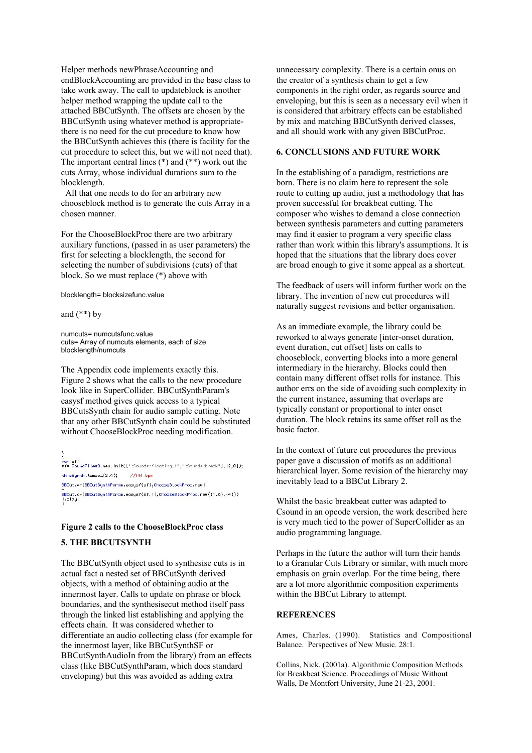Helper methods newPhraseAccounting and endBlockAccounting are provided in the base class to take work away. The call to updateblock is another helper method wrapping the update call to the attached BBCutSynth. The offsets are chosen by the BBCutSynth using whatever method is appropriatethere is no need for the cut procedure to know how the BBCutSynth achieves this (there is facility for the cut procedure to select this, but we will not need that). The important central lines (\*) and (\*\*) work out the cuts Array, whose individual durations sum to the blocklength.

 All that one needs to do for an arbitrary new chooseblock method is to generate the cuts Array in a chosen manner.

For the ChooseBlockProc there are two arbitrary auxiliary functions, (passed in as user parameters) the first for selecting a blocklength, the second for selecting the number of subdivisions (cuts) of that block. So we must replace (\*) above with

blocklength= blocksizefunc.value

and  $(**)$  by

numcuts= numcutsfunc.value cuts= Array of numcuts elements, each of size blocklength/numcuts

The Appendix code implements exactly this. Figure 2 shows what the calls to the new procedure look like in SuperCollider. BBCutSynthParam's easysf method gives quick access to a typical BBCutsSynth chain for audio sample cutting. Note that any other BBCutSynth chain could be substituted without ChooseBlockProc needing modification.

var sf;<br>sf= SoundFiles3.new.init([":Sounds:floating\_1",":Sounds:break"],[2,8]);  $thisSynth. tempo_2(2.4);$  $1/144$  bpm BBCut.ar(BBCutSynthParam.easysf(sf),ChooseBlockProc.new) BBCut.ar(BBCutSynthParam.easysf(sf,1),ChooseBlockProc.new({1.0},{4}))

# Figure 2 calls to the ChooseBlockProc class

# 5. THE BBCUTSYNTH

The BBCutSynth object used to synthesise cuts is in actual fact a nested set of BBCutSynth derived objects, with a method of obtaining audio at the innermost layer. Calls to update on phrase or block boundaries, and the synthesisecut method itself pass through the linked list establishing and applying the effects chain. It was considered whether to differentiate an audio collecting class (for example for the innermost layer, like BBCutSynthSF or BBCutSynthAudioIn from the library) from an effects class (like BBCutSynthParam, which does standard enveloping) but this was avoided as adding extra

unnecessary complexity. There is a certain onus on the creator of a synthesis chain to get a few components in the right order, as regards source and enveloping, but this is seen as a necessary evil when it is considered that arbitrary effects can be established by mix and matching BBCutSynth derived classes, and all should work with any given BBCutProc.

# 6. CONCLUSIONS AND FUTURE WORK

In the establishing of a paradigm, restrictions are born. There is no claim here to represent the sole route to cutting up audio, just a methodology that has proven successful for breakbeat cutting. The composer who wishes to demand a close connection between synthesis parameters and cutting parameters may find it easier to program a very specific class rather than work within this library's assumptions. It is hoped that the situations that the library does cover are broad enough to give it some appeal as a shortcut.

The feedback of users will inform further work on the library. The invention of new cut procedures will naturally suggest revisions and better organisation.

As an immediate example, the library could be reworked to always generate [inter-onset duration, event duration, cut offset] lists on calls to chooseblock, converting blocks into a more general intermediary in the hierarchy. Blocks could then contain many different offset rolls for instance. This author errs on the side of avoiding such complexity in the current instance, assuming that overlaps are typically constant or proportional to inter onset duration. The block retains its same offset roll as the basic factor.

In the context of future cut procedures the previous paper gave a discussion of motifs as an additional hierarchical layer. Some revision of the hierarchy may inevitably lead to a BBCut Library 2.

Whilst the basic breakbeat cutter was adapted to Csound in an opcode version, the work described here is very much tied to the power of SuperCollider as an audio programming language.

Perhaps in the future the author will turn their hands to a Granular Cuts Library or similar, with much more emphasis on grain overlap. For the time being, there are a lot more algorithmic composition experiments within the BBCut Library to attempt.

#### **REFERENCES**

Ames, Charles. (1990). Statistics and Compositional Balance. Perspectives of New Music. 28:1.

Collins, Nick. (2001a). Algorithmic Composition Methods for Breakbeat Science. Proceedings of Music Without Walls, De Montfort University, June 21-23, 2001.